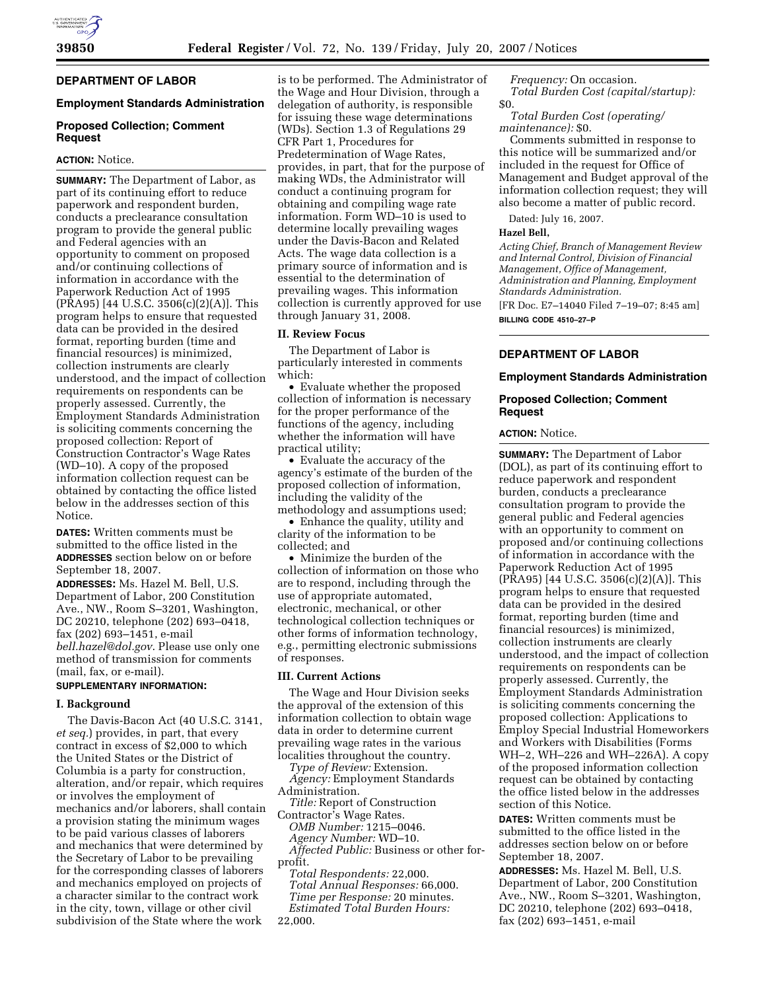# **DEPARTMENT OF LABOR**

# **Employment Standards Administration**

# **Proposed Collection; Comment Request**

# **ACTION:** Notice.

**SUMMARY:** The Department of Labor, as part of its continuing effort to reduce paperwork and respondent burden, conducts a preclearance consultation program to provide the general public and Federal agencies with an opportunity to comment on proposed and/or continuing collections of information in accordance with the Paperwork Reduction Act of 1995 (PRA95) [44 U.S.C. 3506(c)(2)(A)]. This program helps to ensure that requested data can be provided in the desired format, reporting burden (time and financial resources) is minimized, collection instruments are clearly understood, and the impact of collection requirements on respondents can be properly assessed. Currently, the Employment Standards Administration is soliciting comments concerning the proposed collection: Report of Construction Contractor's Wage Rates (WD–10). A copy of the proposed information collection request can be obtained by contacting the office listed below in the addresses section of this Notice.

**DATES:** Written comments must be submitted to the office listed in the **ADDRESSES** section below on or before September 18, 2007.

**ADDRESSES:** Ms. Hazel M. Bell, U.S. Department of Labor, 200 Constitution Ave., NW., Room S–3201, Washington, DC 20210, telephone (202) 693–0418, fax (202) 693–1451, e-mail *bell.hazel@dol.gov*. Please use only one method of transmission for comments (mail, fax, or e-mail).

# **SUPPLEMENTARY INFORMATION:**

### **I. Background**

The Davis-Bacon Act (40 U.S.C. 3141, *et seq.*) provides, in part, that every contract in excess of \$2,000 to which the United States or the District of Columbia is a party for construction, alteration, and/or repair, which requires or involves the employment of mechanics and/or laborers, shall contain a provision stating the minimum wages to be paid various classes of laborers and mechanics that were determined by the Secretary of Labor to be prevailing for the corresponding classes of laborers and mechanics employed on projects of a character similar to the contract work in the city, town, village or other civil subdivision of the State where the work

is to be performed. The Administrator of the Wage and Hour Division, through a delegation of authority, is responsible for issuing these wage determinations (WDs). Section 1.3 of Regulations 29 CFR Part 1, Procedures for Predetermination of Wage Rates, provides, in part, that for the purpose of making WDs, the Administrator will conduct a continuing program for obtaining and compiling wage rate information. Form WD–10 is used to determine locally prevailing wages under the Davis-Bacon and Related Acts. The wage data collection is a primary source of information and is essential to the determination of prevailing wages. This information collection is currently approved for use through January 31, 2008.

## **II. Review Focus**

The Department of Labor is particularly interested in comments which:

• Evaluate whether the proposed collection of information is necessary for the proper performance of the functions of the agency, including whether the information will have practical utility;

• Evaluate the accuracy of the agency's estimate of the burden of the proposed collection of information, including the validity of the methodology and assumptions used;

• Enhance the quality, utility and clarity of the information to be collected; and

• Minimize the burden of the collection of information on those who are to respond, including through the use of appropriate automated, electronic, mechanical, or other technological collection techniques or other forms of information technology, e.g., permitting electronic submissions of responses.

### **III. Current Actions**

The Wage and Hour Division seeks the approval of the extension of this information collection to obtain wage data in order to determine current prevailing wage rates in the various localities throughout the country.

*Type of Review:* Extension. *Agency:* Employment Standards

Administration. *Title:* Report of Construction

Contractor's Wage Rates. *OMB Number:* 1215–0046.

*Agency Number:* WD–10. *Affected Public:* Business or other for-

profit.

*Total Respondents:* 22,000. *Total Annual Responses:* 66,000. *Time per Response:* 20 minutes. *Estimated Total Burden Hours:*  22,000.

*Frequency:* On occasion. *Total Burden Cost (capital/startup):*  \$0.

*Total Burden Cost (operating/ maintenance):* \$0.

Comments submitted in response to this notice will be summarized and/or included in the request for Office of Management and Budget approval of the information collection request; they will also become a matter of public record.

Dated: July 16, 2007.

## **Hazel Bell,**

*Acting Chief, Branch of Management Review and Internal Control, Division of Financial Management, Office of Management, Administration and Planning, Employment Standards Administration.*  [FR Doc. E7–14040 Filed 7–19–07; 8:45 am]

**BILLING CODE 4510–27–P** 

# **DEPARTMENT OF LABOR**

# **Employment Standards Administration**

# **Proposed Collection; Comment Request**

# **ACTION:** Notice.

**SUMMARY:** The Department of Labor (DOL), as part of its continuing effort to reduce paperwork and respondent burden, conducts a preclearance consultation program to provide the general public and Federal agencies with an opportunity to comment on proposed and/or continuing collections of information in accordance with the Paperwork Reduction Act of 1995 (PRA95) [44 U.S.C. 3506(c)(2)(A)]. This program helps to ensure that requested data can be provided in the desired format, reporting burden (time and financial resources) is minimized, collection instruments are clearly understood, and the impact of collection requirements on respondents can be properly assessed. Currently, the Employment Standards Administration is soliciting comments concerning the proposed collection: Applications to Employ Special Industrial Homeworkers and Workers with Disabilities (Forms WH–2, WH–226 and WH–226A). A copy of the proposed information collection request can be obtained by contacting the office listed below in the addresses section of this Notice.

**DATES:** Written comments must be submitted to the office listed in the addresses section below on or before September 18, 2007.

**ADDRESSES:** Ms. Hazel M. Bell, U.S. Department of Labor, 200 Constitution Ave., NW., Room S–3201, Washington, DC 20210, telephone (202) 693–0418, fax (202) 693–1451, e-mail